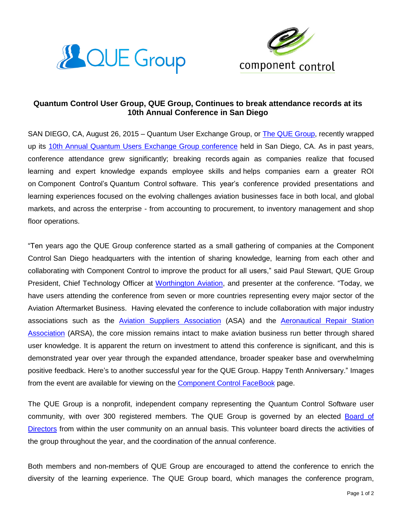



## **Quantum Control User Group, QUE Group, Continues to break attendance records at its 10th Annual Conference in San Diego**

SAN DIEGO, CA, August 26, 2015 – Quantum User Exchange [Group,](http://quegroup.camp7.org/) or The QUE Group, recently wrapped up its 10th Annual Quantum Users Exchange Group [conference](http://quegroup.camp7.org/business_agenda_2015) held in San Diego, CA. As in past years, conference attendance grew significantly; breaking records again as companies realize that focused learning and expert knowledge expands employee skills and helps companies earn a greater ROI on Component Control's Quantum Control software. This year's conference provided presentations and learning experiences focused on the evolving challenges aviation businesses face in both local, and global markets, and across the enterprise - from accounting to procurement, to inventory management and shop floor operations.

"Ten years ago the QUE Group conference started as a small gathering of companies at the Component Control San Diego headquarters with the intention of sharing knowledge, learning from each other and collaborating with Component Control to improve the product for all users," said Paul Stewart, QUE Group President, Chief Technology Officer at [Worthington](http://www.worthingtonav.com/) Aviation, and presenter at the conference. "Today, we have users attending the conference from seven or more countries representing every major sector of the Aviation Aftermarket Business. Having elevated the conference to include collaboration with major industry associations such as the Aviation Suppliers [Association](http://www.aviationsuppliers.org/) (ASA) and the [Aeronautical](http://www.arsa.org/) Repair Station [Association](http://www.arsa.org/) (ARSA), the core mission remains intact to make aviation business run better through shared user knowledge. It is apparent the return on investment to attend this conference is significant, and this is demonstrated year over year through the expanded attendance, broader speaker base and overwhelming positive feedback. Here's to another successful year for the QUE Group. Happy Tenth Anniversary." Images from the event are available for viewing on the [Component](https://www.facebook.com/ComponentControl) Control FaceBook page.

The QUE Group is a nonprofit, independent company representing the Quantum Control Software user community, with over 300 registered members. The QUE Group is governed by an elected [Board](http://quegroup.camp7.org/board) of [Directors](http://quegroup.camp7.org/board) from within the user community on an annual basis. This volunteer board directs the activities of the group throughout the year, and the coordination of the annual conference.

Both members and non-members of QUE Group are encouraged to attend the conference to enrich the diversity of the learning experience. The QUE Group board, which manages the conference program,